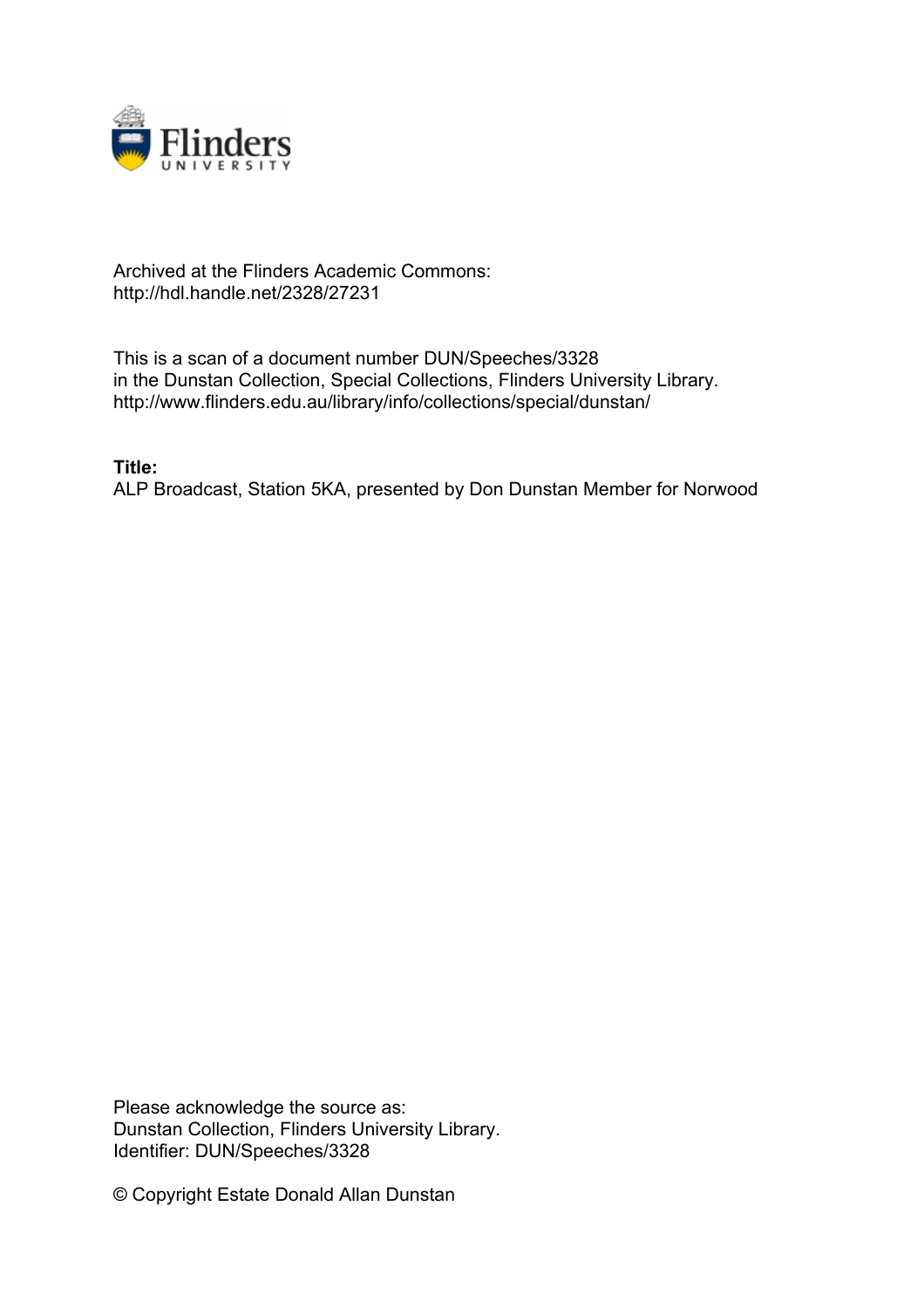

## Archived at the Flinders Academic Commons: http://hdl.handle.net/2328/27231

This is a scan of a document number DUN/Speeches/3328 in the Dunstan Collection, Special Collections, Flinders University Library. http://www.flinders.edu.au/library/info/collections/special/dunstan/

**Title:**

ALP Broadcast, Station 5KA, presented by Don Dunstan Member for Norwood

Please acknowledge the source as: Dunstan Collection, Flinders University Library. Identifier: DUN/Speeches/3328

© Copyright Estate Donald Allan Dunstan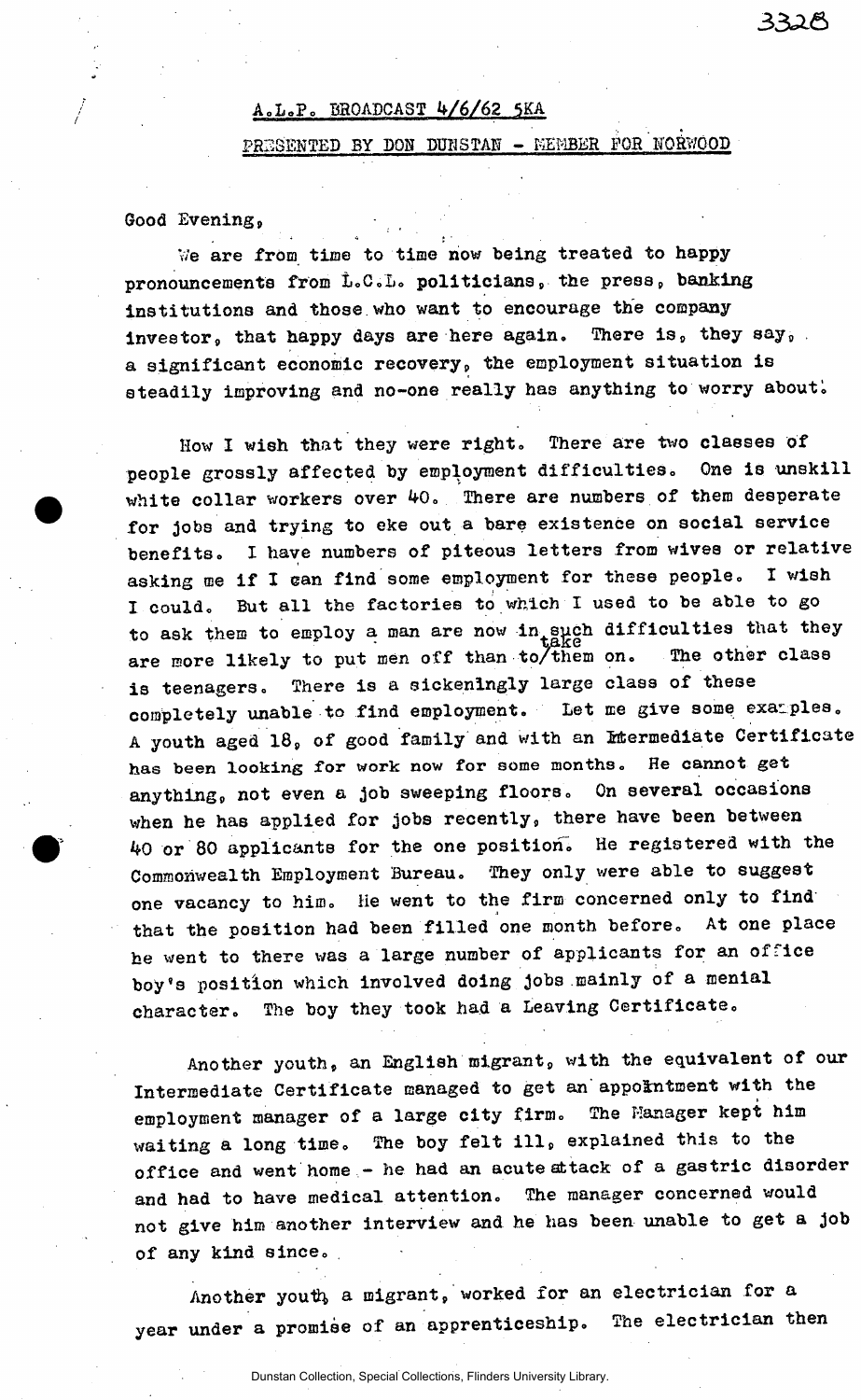## AoLoPo BHOADCAST *k/6/6*2 SKA

## PRESENTED BY DON DUNSTAN - MEMBER FOR NORWOOD

## Good Evening,

V/e are from time to time now being treated to happy pronouncements from L.C.L. politicians, the press, banking institutions and those who want to encourage the company investor, that happy days are here again. There is, they say, a significant economic recovery, the employment situation is steadily improving and no-one really has anything to worry about.

How I wish that they were right. There are two classes of people grossly affected by employment difficulties. One is unskill white collar workers over  $40$ . There are numbers of them desperate for jobs and trying to eke out a bare existence on social service benefits. I have numbers of piteous letters from wives or relative asking me if I ean find some employment for these people. I wish I could. But all the factories to which I used to be able to go to ask them to employ a man are now in<sub>+Skg</sub>h difficulties that they are more likely to put men off than to/them on. The other class is teenagers. There is a sickenlngly large class of these completely unable to find employment. Let me give some examples. A youth aged 18, of good family and with an Mermediate Certificate has been looking **for** work now for some months. He cannot get anything, not even a job sweeping floors. On several occasions when he has applied for jobs recently, there have been between *kO* or 80 applicants for the one position. He registered with the Commonwealth Employment Bureau. 'They only were able to suggest one vacancy to him. He went to the firm concerned only to find that the position had been filled one month before. At one place he went to there was a large number of applicants for an office boy's position which involved doing jobs mainly of a menial character. The boy they took had a Leaving Certificate.

Another youth, an English migrant, with the equivalent of our Intermediate Certificate managed to get an' appointment with the employment manager of a large city firm. The Manager kept him waiting a long time. The boy felt ill, explained this to the office and went home - he had an acute attack of a gastric disorder and had to have medical attention. The manager concerned would not give him another interview and he has been unable to get a job of any kind since. .

Another youth, a migrant, worked for an electrician for a year under a promise of **an** apprenticeship. The electrician then